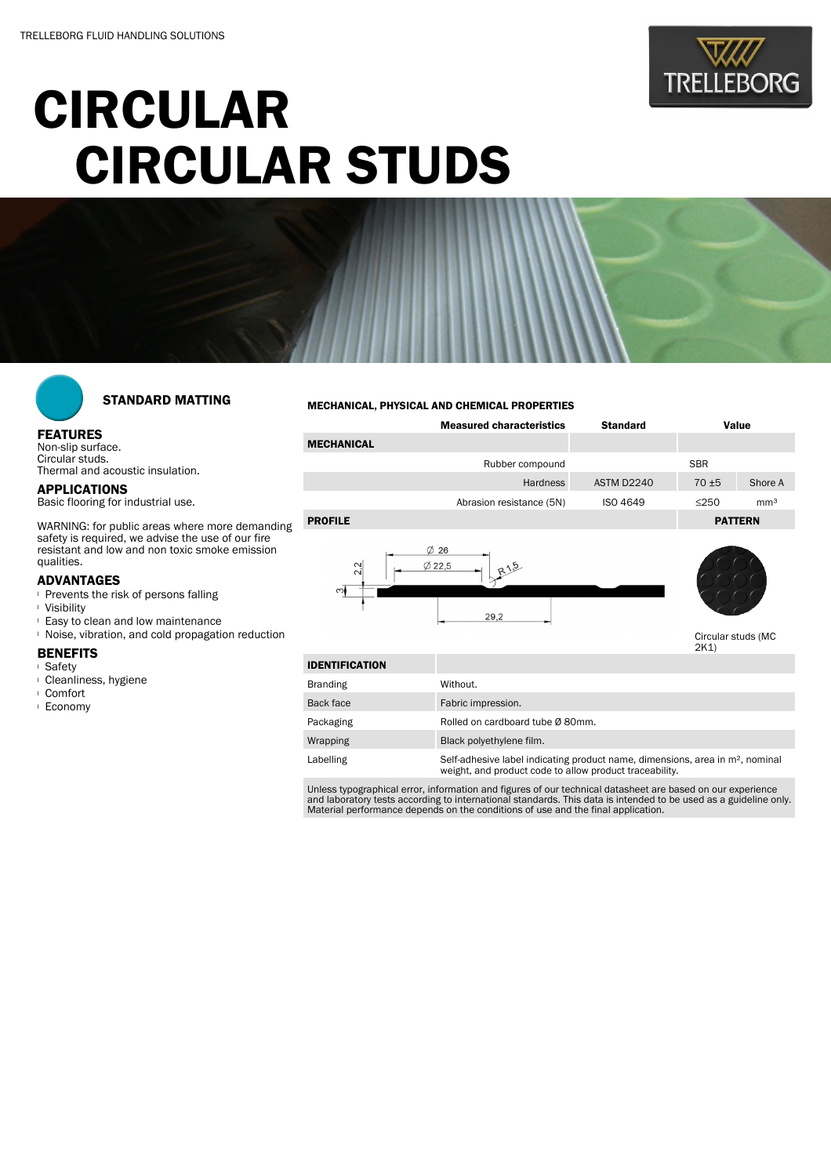

# CIRCULAR CIRCULAR STUDS



## STANDARD MATTING

#### FEATURES Non-slip surface.

Circular studs. Thermal and acoustic insulation.

#### APPLICATIONS Basic flooring for industrial use.

WARNING: for public areas where more demanding safety is required, we advise the use of our fire resistant and low and non toxic smoke emission qualities.

### ADVANTAGES

- **Prevents the risk of persons falling**
- <sup>l</sup> Visibility
- <sup>l</sup> Easy to clean and low maintenance
- <sup>l</sup> Noise, vibration, and cold propagation reduction

#### BENEFITS

- <sup>l</sup> Safety
- <sup>l</sup> Cleanliness, hygiene
- <sup>l</sup> Comfort
- <sup>l</sup> Economy

#### MECHANICAL, PHYSICAL AND CHEMICAL PROPERTIES

|                   | <b>Measured characteristics</b>           | <b>Standard</b><br>Value |                |                 |
|-------------------|-------------------------------------------|--------------------------|----------------|-----------------|
| <b>MECHANICAL</b> |                                           |                          |                |                 |
|                   | Rubber compound                           |                          | <b>SBR</b>     |                 |
|                   | Hardness                                  | ASTM D2240               | $70 + 5$       | Shore A         |
|                   | Abrasion resistance (5N)                  | <b>ISO 4649</b>          | $\leq$ 250     | mm <sup>3</sup> |
| <b>PROFILE</b>    |                                           |                          | <b>PATTERN</b> |                 |
| 2 <sup>2</sup>    | $\emptyset$ 26<br>$\emptyset$ 22,5<br>R15 |                          |                |                 |





Circular studs (MC 2K1)

| <b>IDENTIFICATION</b> |                                                                                                                                                      |
|-----------------------|------------------------------------------------------------------------------------------------------------------------------------------------------|
| <b>Branding</b>       | Without.                                                                                                                                             |
| Back face             | Fabric impression.                                                                                                                                   |
| Packaging             | Rolled on cardboard tube Ø 80mm.                                                                                                                     |
| Wrapping              | Black polyethylene film.                                                                                                                             |
| Labelling             | Self-adhesive label indicating product name, dimensions, area in m <sup>2</sup> , nominal<br>weight, and product code to allow product traceability. |

Unless typographical error, information and figures of our technical datasheet are based on our experience<br>and laboratory tests according to international standards. This data is intended to be used as a guideline only.<br>Ma